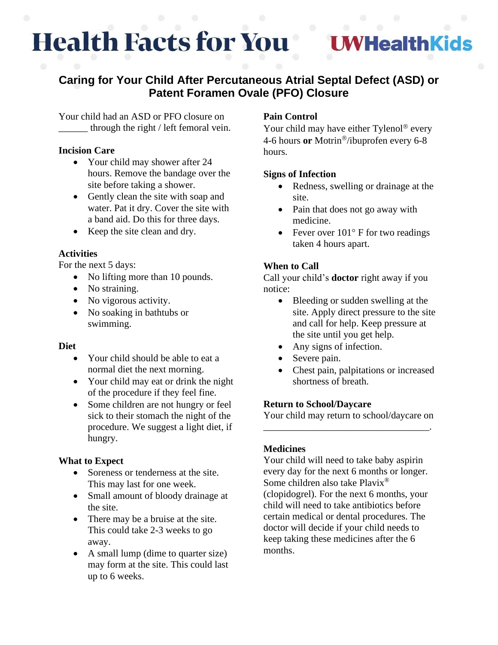# **Health Facts for You**

# **WHealthKids**

## **Caring for Your Child After Percutaneous Atrial Septal Defect (ASD) or Patent Foramen Ovale (PFO) Closure**

Your child had an ASD or PFO closure on through the right / left femoral vein.

#### **Incision Care**

- Your child may shower after 24 hours. Remove the bandage over the site before taking a shower.
- Gently clean the site with soap and water. Pat it dry. Cover the site with a band aid. Do this for three days.
- Keep the site clean and dry.

#### **Activities**

For the next 5 days:

- No lifting more than 10 pounds.
- No straining.
- No vigorous activity.
- No soaking in bathtubs or swimming.

### **Diet**

- Your child should be able to eat a normal diet the next morning.
- Your child may eat or drink the night of the procedure if they feel fine.
- Some children are not hungry or feel sick to their stomach the night of the procedure. We suggest a light diet, if hungry.

### **What to Expect**

- Soreness or tenderness at the site. This may last for one week.
- Small amount of bloody drainage at the site.
- There may be a bruise at the site. This could take 2-3 weeks to go away.
- A small lump (dime to quarter size) may form at the site. This could last up to 6 weeks.

### **Pain Control**

Your child may have either Tylenol<sup>®</sup> every 4-6 hours or Motrin<sup>®</sup>/ibuprofen every 6-8 hours.

#### **Signs of Infection**

- Redness, swelling or drainage at the site.
- Pain that does not go away with medicine.
- Fever over  $101^{\circ}$  F for two readings taken 4 hours apart.

### **When to Call**

Call your child's **doctor** right away if you notice:

- Bleeding or sudden swelling at the site. Apply direct pressure to the site and call for help. Keep pressure at the site until you get help.
- Any signs of infection.
- Severe pain.
- Chest pain, palpitations or increased shortness of breath.

#### **Return to School/Daycare**

Your child may return to school/daycare on \_\_\_\_\_\_\_\_\_\_\_\_\_\_\_\_\_\_\_\_\_\_\_\_\_\_\_\_\_\_\_\_\_\_.

#### **Medicines**

Your child will need to take baby aspirin every day for the next 6 months or longer. Some children also take Plavix® (clopidogrel). For the next 6 months, your child will need to take antibiotics before certain medical or dental procedures. The doctor will decide if your child needs to keep taking these medicines after the 6 months.